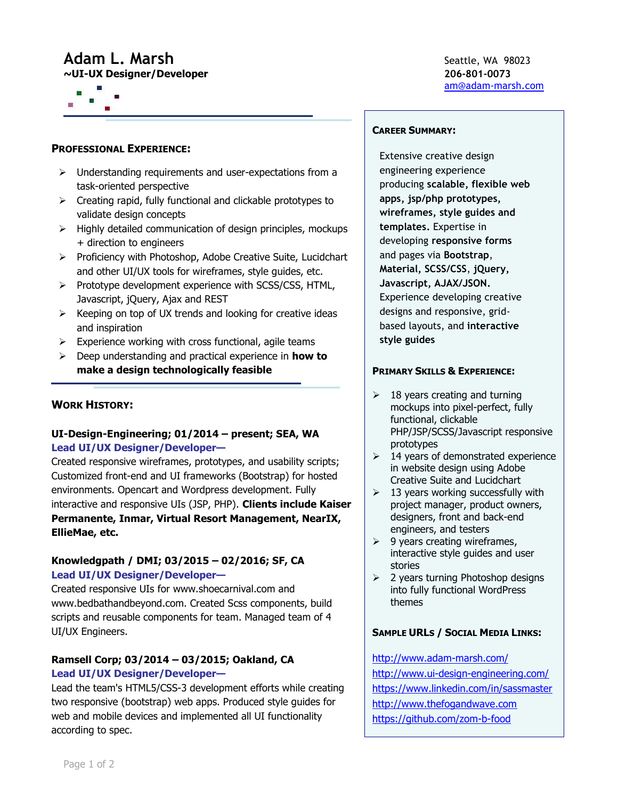# **Adam L. Marsh** Seattle, WA 98023

**~UI-UX Designer/Developer 206-801-0073**



## **PROFESSIONAL EXPERIENCE:**

- $\triangleright$  Understanding requirements and user-expectations from a task-oriented perspective
- $\triangleright$  Creating rapid, fully functional and clickable prototypes to validate design concepts
- $\triangleright$  Highly detailed communication of design principles, mockups + direction to engineers
- $\triangleright$  Proficiency with Photoshop, Adobe Creative Suite, Lucidchart and other UI/UX tools for wireframes, style guides, etc.
- $\triangleright$  Prototype development experience with SCSS/CSS, HTML, Javascript, jQuery, Ajax and REST
- $\triangleright$  Keeping on top of UX trends and looking for creative ideas and inspiration
- $\triangleright$  Experience working with cross functional, agile teams
- Deep understanding and practical experience in **how to make a design technologically feasible**

# **WORK HISTORY:**

# **UI-Design-Engineering; 01/2014 – present; SEA, WA Lead UI/UX Designer/Developer—**

Created responsive wireframes, prototypes, and usability scripts; Customized front-end and UI frameworks (Bootstrap) for hosted environments. Opencart and Wordpress development. Fully interactive and responsive UIs (JSP, PHP). **Clients include Kaiser Permanente, Inmar, Virtual Resort Management, NearIX, EllieMae, etc.**

# **Knowledgpath / DMI; 03/2015 – 02/2016; SF, CA Lead UI/UX Designer/Developer—**

Created responsive UIs for www.shoecarnival.com and www.bedbathandbeyond.com. Created Scss components, build scripts and reusable components for team. Managed team of 4 UI/UX Engineers.

# **Ramsell Corp; 03/2014 – 03/2015; Oakland, CA Lead UI/UX Designer/Developer—**

Lead the team's HTML5/CSS-3 development efforts while creating two responsive (bootstrap) web apps. Produced style guides for web and mobile devices and implemented all UI functionality according to spec.

[am@adam-marsh.com](mailto:am@adam-marsh.com)

## **CAREER SUMMARY:**

Extensive creative design engineering experience producing **scalable, flexible web apps, jsp/php prototypes, wireframes, style guides and templates.** Expertise in developing **responsive forms** and pages via **Bootstrap**, **Material, SCSS/CSS**, **jQuery, Javascript, AJAX/JSON.** Experience developing creative designs and responsive, gridbased layouts, and **interactive style guides**

## **PRIMARY SKILLS & EXPERIENCE:**

- $\geq$  18 years creating and turning mockups into pixel-perfect, fully functional, clickable PHP/JSP/SCSS/Javascript responsive prototypes
- $\geq$  14 years of demonstrated experience in website design using Adobe Creative Suite and Lucidchart
- $\geq$  13 years working successfully with project manager, product owners, designers, front and back-end engineers, and testers
- $\geq$  9 years creating wireframes, interactive style guides and user stories
- $\geq$  2 years turning Photoshop designs into fully functional WordPress themes

## **SAMPLE URLS / SOCIAL MEDIA LINKS:**

<http://www.adam-marsh.com/> <http://www.ui-design-engineering.com/> <https://www.linkedin.com/in/sassmaster> [http://www.thefogandwave.com](http://www.thefogandwave.com/) <https://github.com/zom-b-food>